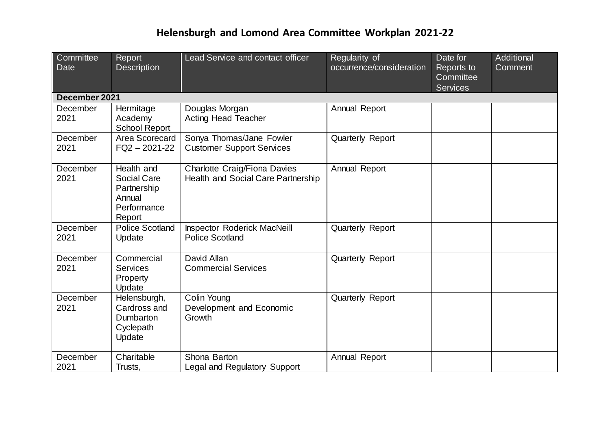| Committee<br><b>Date</b> | Report<br><b>Description</b>                                                | Lead Service and contact officer                                   | Regularity of<br>occurrence/consideration | Date for<br>Reports to<br>Committee<br><b>Services</b> | Additional<br>Comment |
|--------------------------|-----------------------------------------------------------------------------|--------------------------------------------------------------------|-------------------------------------------|--------------------------------------------------------|-----------------------|
| December 2021            |                                                                             |                                                                    |                                           |                                                        |                       |
| December<br>2021         | Hermitage<br>Academy<br><b>School Report</b>                                | Douglas Morgan<br><b>Acting Head Teacher</b>                       | Annual Report                             |                                                        |                       |
| December<br>2021         | Area Scorecard<br>$FQ2 - 2021 - 22$                                         | Sonya Thomas/Jane Fowler<br><b>Customer Support Services</b>       | <b>Quarterly Report</b>                   |                                                        |                       |
| December<br>2021         | Health and<br>Social Care<br>Partnership<br>Annual<br>Performance<br>Report | Charlotte Craig/Fiona Davies<br>Health and Social Care Partnership | Annual Report                             |                                                        |                       |
| December<br>2021         | <b>Police Scotland</b><br>Update                                            | <b>Inspector Roderick MacNeill</b><br><b>Police Scotland</b>       | <b>Quarterly Report</b>                   |                                                        |                       |
| December<br>2021         | Commercial<br><b>Services</b><br>Property<br>Update                         | David Allan<br><b>Commercial Services</b>                          | <b>Quarterly Report</b>                   |                                                        |                       |
| December<br>2021         | Helensburgh,<br>Cardross and<br>Dumbarton<br>Cyclepath<br>Update            | Colin Young<br>Development and Economic<br>Growth                  | <b>Quarterly Report</b>                   |                                                        |                       |
| December<br>2021         | Charitable<br>Trusts,                                                       | Shona Barton<br>Legal and Regulatory Support                       | Annual Report                             |                                                        |                       |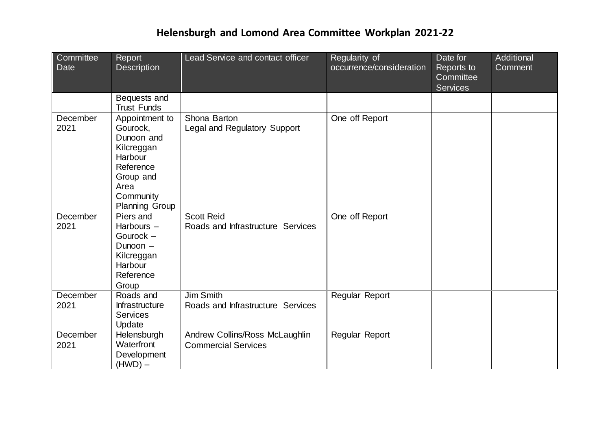| Committee<br><b>Date</b> | Report<br><b>Description</b>                                                                                                              | Lead Service and contact officer                             | Regularity of<br>occurrence/consideration | Date for<br>Reports to<br>Committee<br><b>Services</b> | Additional<br>Comment |
|--------------------------|-------------------------------------------------------------------------------------------------------------------------------------------|--------------------------------------------------------------|-------------------------------------------|--------------------------------------------------------|-----------------------|
|                          | Bequests and<br><b>Trust Funds</b>                                                                                                        |                                                              |                                           |                                                        |                       |
| December<br>2021         | Appointment to<br>Gourock,<br>Dunoon and<br>Kilcreggan<br>Harbour<br>Reference<br>Group and<br>Area<br>Community<br><b>Planning Group</b> | Shona Barton<br>Legal and Regulatory Support                 | One off Report                            |                                                        |                       |
| December<br>2021         | Piers and<br>Harbours $-$<br>Gourock -<br>Dunoon -<br>Kilcreggan<br>Harbour<br>Reference<br>Group                                         | <b>Scott Reid</b><br>Roads and Infrastructure Services       | One off Report                            |                                                        |                       |
| December<br>2021         | Roads and<br><b>Infrastructure</b><br><b>Services</b><br>Update                                                                           | <b>Jim Smith</b><br>Roads and Infrastructure Services        | Regular Report                            |                                                        |                       |
| December<br>2021         | Helensburgh<br>Waterfront<br>Development<br>$(HWD)$ –                                                                                     | Andrew Collins/Ross McLaughlin<br><b>Commercial Services</b> | Regular Report                            |                                                        |                       |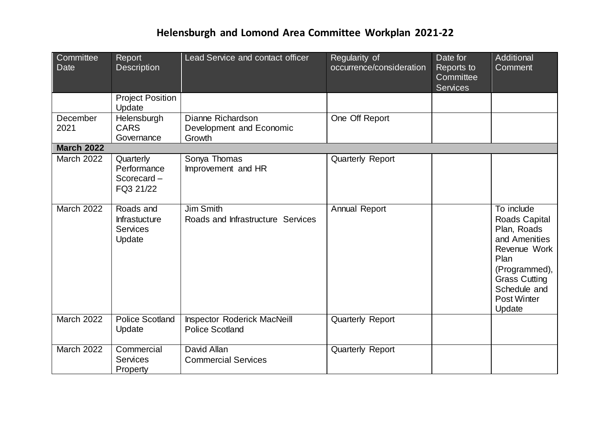| Committee<br>Date | Report<br><b>Description</b>                            | Lead Service and contact officer                             | Regularity of<br>occurrence/consideration | Date for<br>Reports to<br>Committee<br><b>Services</b> | Additional<br>Comment                                                                                                                                                        |
|-------------------|---------------------------------------------------------|--------------------------------------------------------------|-------------------------------------------|--------------------------------------------------------|------------------------------------------------------------------------------------------------------------------------------------------------------------------------------|
|                   | <b>Project Position</b><br>Update                       |                                                              |                                           |                                                        |                                                                                                                                                                              |
| December<br>2021  | Helensburgh<br><b>CARS</b><br>Governance                | Dianne Richardson<br>Development and Economic<br>Growth      | One Off Report                            |                                                        |                                                                                                                                                                              |
| <b>March 2022</b> |                                                         |                                                              |                                           |                                                        |                                                                                                                                                                              |
| <b>March 2022</b> | Quarterly<br>Performance<br>Scorecard-<br>FQ3 21/22     | Sonya Thomas<br>Improvement and HR                           | <b>Quarterly Report</b>                   |                                                        |                                                                                                                                                                              |
| March 2022        | Roads and<br><b>Infrastucture</b><br>Services<br>Update | Jim Smith<br>Roads and Infrastructure Services               | Annual Report                             |                                                        | To include<br>Roads Capital<br>Plan, Roads<br>and Amenities<br>Revenue Work<br>Plan<br>(Programmed),<br><b>Grass Cutting</b><br>Schedule and<br><b>Post Winter</b><br>Update |
| March 2022        | <b>Police Scotland</b><br>Update                        | <b>Inspector Roderick MacNeill</b><br><b>Police Scotland</b> | <b>Quarterly Report</b>                   |                                                        |                                                                                                                                                                              |
| March 2022        | Commercial<br>Services<br>Property                      | David Allan<br><b>Commercial Services</b>                    | <b>Quarterly Report</b>                   |                                                        |                                                                                                                                                                              |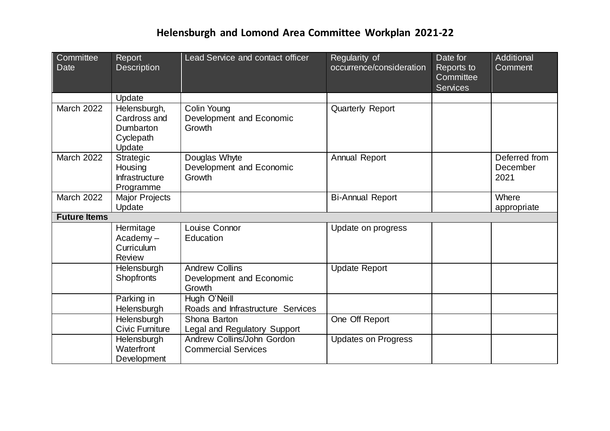| Committee<br><b>Date</b> | Report<br><b>Description</b>                                     | Lead Service and contact officer                            | Regularity of<br>occurrence/consideration | Date for<br>Reports to<br>Committee<br><b>Services</b> | Additional<br>Comment             |
|--------------------------|------------------------------------------------------------------|-------------------------------------------------------------|-------------------------------------------|--------------------------------------------------------|-----------------------------------|
|                          | Update                                                           |                                                             |                                           |                                                        |                                   |
| March 2022               | Helensburgh,<br>Cardross and<br>Dumbarton<br>Cyclepath<br>Update | Colin Young<br>Development and Economic<br>Growth           | <b>Quarterly Report</b>                   |                                                        |                                   |
| <b>March 2022</b>        | Strategic<br>Housing<br>Infrastructure<br>Programme              | Douglas Whyte<br>Development and Economic<br>Growth         | Annual Report                             |                                                        | Deferred from<br>December<br>2021 |
| <b>March 2022</b>        | Major Projects<br>Update                                         |                                                             | <b>Bi-Annual Report</b>                   |                                                        | Where<br>appropriate              |
| <b>Future Items</b>      |                                                                  |                                                             |                                           |                                                        |                                   |
|                          | Hermitage<br>$Academy -$<br>Curriculum<br><b>Review</b>          | Louise Connor<br>Education                                  | Update on progress                        |                                                        |                                   |
|                          | Helensburgh<br><b>Shopfronts</b>                                 | <b>Andrew Collins</b><br>Development and Economic<br>Growth | <b>Update Report</b>                      |                                                        |                                   |
|                          | Parking in<br>Helensburgh                                        | Hugh O'Neill<br>Roads and Infrastructure Services           |                                           |                                                        |                                   |
|                          | Helensburgh<br>Civic Furniture                                   | Shona Barton<br>Legal and Regulatory Support                | One Off Report                            |                                                        |                                   |
|                          | Helensburgh<br>Waterfront<br>Development                         | Andrew Collins/John Gordon<br><b>Commercial Services</b>    | <b>Updates on Progress</b>                |                                                        |                                   |